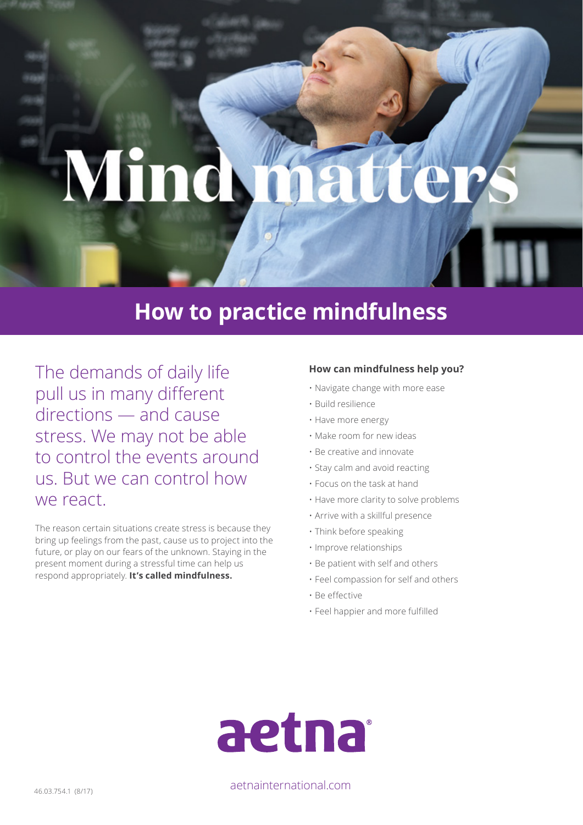# Mind  $\mathbf{C}$

## **How to practice mindfulness**

The demands of daily life pull us in many different directions — and cause stress. We may not be able to control the events around us. But we can control how we react.

The reason certain situations create stress is because they bring up feelings from the past, cause us to project into the future, or play on our fears of the unknown. Staying in the present moment during a stressful time can help us respond appropriately. **It's called mindfulness.** 

### **How can mindfulness help you?**

- Navigate change with more ease
- Build resilience
- Have more energy
- Make room for new ideas
- Be creative and innovate
- Stay calm and avoid reacting
- Focus on the task at hand
- Have more clarity to solve problems
- Arrive with a skillful presence
- Think before speaking
- Improve relationships
- Be patient with self and others
- Feel compassion for self and others
- Be effective
- Feel happier and more fulfilled



46.03.754.1 (8/17) aetnainternational.com